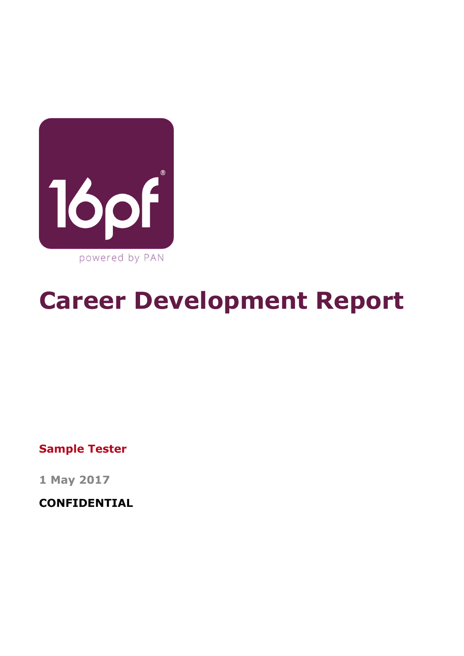

# **Career Development Report**

**Sample Tester**

**1 May 2017**

**CONFIDENTIAL**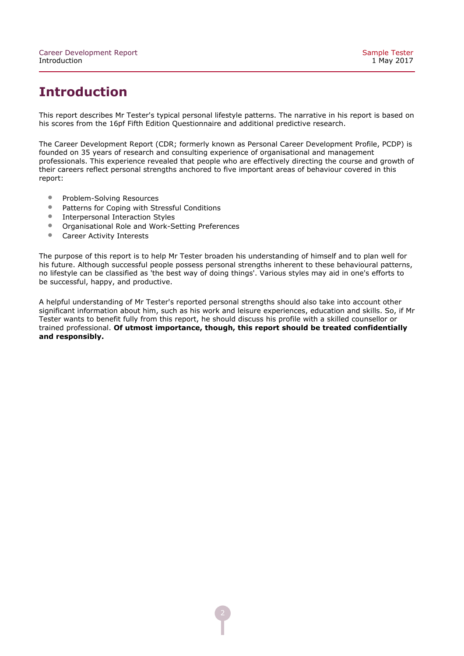# **Introduction**

This report describes Mr Tester's typical personal lifestyle patterns. The narrative in his report is based on his scores from the 16pf Fifth Edition Questionnaire and additional predictive research.

The Career Development Report (CDR; formerly known as Personal Career Development Profile, PCDP) is founded on 35 years of research and consulting experience of organisational and management professionals. This experience revealed that people who are effectively directing the course and growth of their careers reflect personal strengths anchored to five important areas of behaviour covered in this report:

- Problem-Solving Resources<br>• Patterns for Coning with Str
- Patterns for Coping with Stressful Conditions<br>• Internersonal Interaction Styles
- Interpersonal Interaction Styles<br>• Organisational Role and Work-S
- Organisational Role and Work-Setting Preferences<br>• Career Activity Interests
- Career Activity Interests

The purpose of this report is to help Mr Tester broaden his understanding of himself and to plan well for his future. Although successful people possess personal strengths inherent to these behavioural patterns, no lifestyle can be classified as 'the best way of doing things'. Various styles may aid in one's efforts to be successful, happy, and productive.

A helpful understanding of Mr Tester's reported personal strengths should also take into account other significant information about him, such as his work and leisure experiences, education and skills. So, if Mr Tester wants to benefit fully from this report, he should discuss his profile with a skilled counsellor or trained professional. **Of utmost importance, though, this report should be treated confidentially and responsibly.**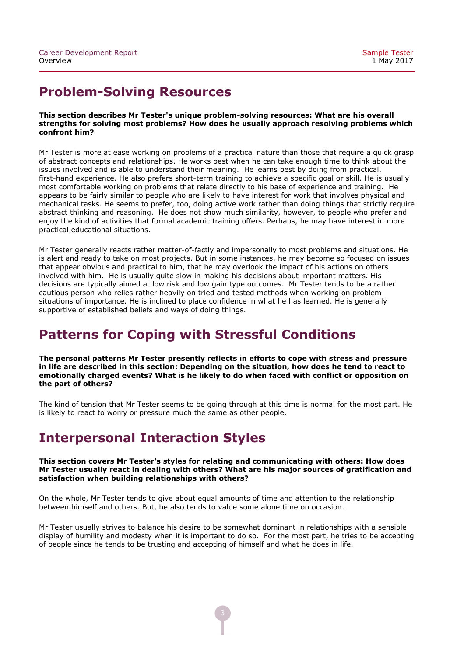# **Problem-Solving Resources**

#### **This section describes Mr Tester's unique problemsolving resources: What are his overall strengths for solving most problems? How does he usually approach resolving problems which confront him?**

Mr Tester is more at ease working on problems of a practical nature than those that require a quick grasp of abstract concepts and relationships. He works best when he can take enough time to think about the issues involved and is able to understand their meaning. He learns best by doing from practical, first-hand experience. He also prefers short-term training to achieve a specific goal or skill. He is usually most comfortable working on problems that relate directly to his base of experience and training. He appears to be fairly similar to people who are likely to have interest for work that involves physical and mechanical tasks. He seems to prefer, too, doing active work rather than doing things that strictly require abstract thinking and reasoning. He does not show much similarity, however, to people who prefer and enjoy the kind of activities that formal academic training offers. Perhaps, he may have interest in more practical educational situations.

Mr Tester generally reacts rather matter-of-factly and impersonally to most problems and situations. He is alert and ready to take on most projects. But in some instances, he may become so focused on issues that appear obvious and practical to him, that he may overlook the impact of his actions on others involved with him. He is usually quite slow in making his decisions about important matters. His decisions are typically aimed at low risk and low gain type outcomes. Mr Tester tends to be a rather cautious person who relies rather heavily on tried and tested methods when working on problem situations of importance. He is inclined to place confidence in what he has learned. He is generally supportive of established beliefs and ways of doing things.

# **Patterns for Coping with Stressful Conditions**

**The personal patterns Mr Tester presently reflects in efforts to cope with stress and pressure in life are described in this section: Depending on the situation, how does he tend to react to emotionally charged events? What is he likely to do when faced with conflict or opposition on the part of others?**

The kind of tension that Mr Tester seems to be going through at this time is normal for the most part. He is likely to react to worry or pressure much the same as other people.

# **Interpersonal Interaction Styles**

#### **This section covers Mr Tester's styles for relating and communicating with others: How does Mr Tester usually react in dealing with others? What are his major sources of gratification and satisfaction when building relationships with others?**

On the whole, Mr Tester tends to give about equal amounts of time and attention to the relationship between himself and others. But, he also tends to value some alone time on occasion.

Mr Tester usually strives to balance his desire to be somewhat dominant in relationships with a sensible display of humility and modesty when it is important to do so. For the most part, he tries to be accepting of people since he tends to be trusting and accepting of himself and what he does in life.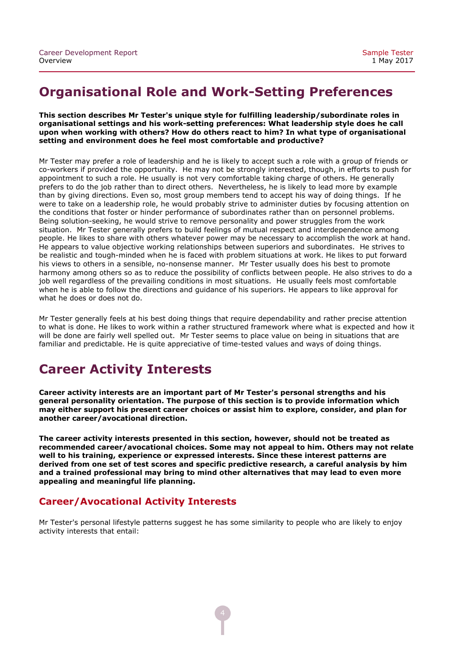### **Organisational Role and Work-Setting Preferences**

#### **This section describes Mr Tester's unique style for fulfilling leadership/subordinate roles in** organisational settings and his work-setting preferences: What leadership style does he call **upon when working with others? How do others react to him? In what type of organisational setting and environment does he feel most comfortable and productive?**

Mr Tester may prefer a role of leadership and he is likely to accept such a role with a group of friends or co-workers if provided the opportunity. He may not be strongly interested, though, in efforts to push for appointment to such a role. He usually is not very comfortable taking charge of others. He generally prefers to do the job rather than to direct others. Nevertheless, he is likely to lead more by example than by giving directions. Even so, most group members tend to accept his way of doing things. If he were to take on a leadership role, he would probably strive to administer duties by focusing attention on the conditions that foster or hinder performance of subordinates rather than on personnel problems. Being solution-seeking, he would strive to remove personality and power struggles from the work situation. Mr Tester generally prefers to build feelings of mutual respect and interdependence among people. He likes to share with others whatever power may be necessary to accomplish the work at hand. He appears to value objective working relationships between superiors and subordinates. He strives to be realistic and tough-minded when he is faced with problem situations at work. He likes to put forward his views to others in a sensible, no-nonsense manner. Mr Tester usually does his best to promote harmony among others so as to reduce the possibility of conflicts between people. He also strives to do a job well regardless of the prevailing conditions in most situations. He usually feels most comfortable when he is able to follow the directions and guidance of his superiors. He appears to like approval for what he does or does not do.

Mr Tester generally feels at his best doing things that require dependability and rather precise attention to what is done. He likes to work within a rather structured framework where what is expected and how it will be done are fairly well spelled out. Mr Tester seems to place value on being in situations that are familiar and predictable. He is quite appreciative of time-tested values and ways of doing things.

### **Career Activity Interests**

**Career activity interests are an important part of Mr Tester's personal strengths and his general personality orientation. The purpose of this section is to provide information which may either support his present career choices or assist him to explore, consider, and plan for another career/avocational direction.**

**The career activity interests presented in this section, however, should not be treated as recommended career/avocational choices. Some may not appeal to him. Others may not relate well to his training, experience or expressed interests. Since these interest patterns are derived from one set of test scores and specific predictive research, a careful analysis by him and a trained professional may bring to mind other alternatives that may lead to even more appealing and meaningful life planning.**

### **Career/Avocational Activity Interests**

Mr Tester's personal lifestyle patterns suggest he has some similarity to people who are likely to enjoy activity interests that entail: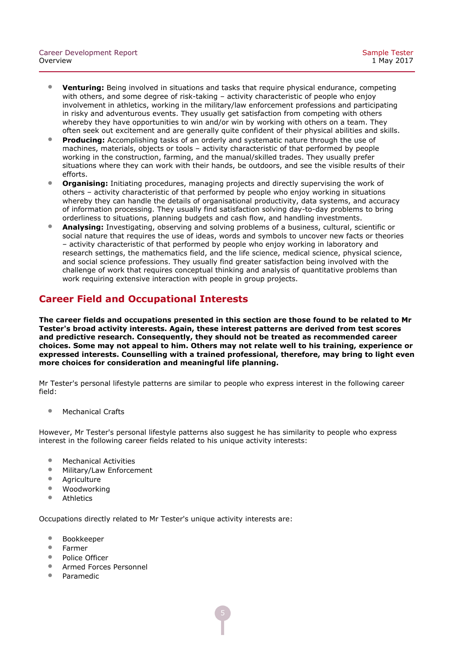- **Venturing:** Being involved in situations and tasks that require physical endurance, competing with others, and some degree of risk-taking - activity characteristic of people who enjoy involvement in athletics, working in the military/law enforcement professions and participating in risky and adventurous events. They usually get satisfaction from competing with others whereby they have opportunities to win and/or win by working with others on a team. They often seek out excitement and are generally quite confident of their physical abilities and skills.
- **Producing:** Accomplishing tasks of an orderly and systematic nature through the use of machines, materials, objects or tools – activity characteristic of that performed by people working in the construction, farming, and the manual/skilled trades. They usually prefer situations where they can work with their hands, be outdoors, and see the visible results of their efforts.
- **Organising:** Initiating procedures, managing projects and directly supervising the work of others – activity characteristic of that performed by people who enjoy working in situations whereby they can handle the details of organisational productivity, data systems, and accuracy of information processing. They usually find satisfaction solving day-to-day problems to bring orderliness to situations, planning budgets and cash flow, and handling investments.
- **Analysing:** Investigating, observing and solving problems of a business, cultural, scientific or social nature that requires the use of ideas, words and symbols to uncover new facts or theories – activity characteristic of that performed by people who enjoy working in laboratory and research settings, the mathematics field, and the life science, medical science, physical science, and social science professions. They usually find greater satisfaction being involved with the challenge of work that requires conceptual thinking and analysis of quantitative problems than work requiring extensive interaction with people in group projects.

### **Career Field and Occupational Interests**

**The career fields and occupations presented in this section are those found to be related to Mr Tester's broad activity interests. Again, these interest patterns are derived from test scores and predictive research. Consequently, they should not be treated as recommended career choices. Some may not appeal to him. Others may not relate well to his training, experience or expressed interests. Counselling with a trained professional, therefore, may bring to light even more choices for consideration and meaningful life planning.**

Mr Tester's personal lifestyle patterns are similar to people who express interest in the following career field:

• Mechanical Crafts

However, Mr Tester's personal lifestyle patterns also suggest he has similarity to people who express interest in the following career fields related to his unique activity interests:

- Mechanical Activities<br>• Military/Law Enforcer
- Military/Law Enforcement<br>• Agriculture
- Agriculture<br>• Woodworki
- Woodworking<br>• Athletics
- **Athletics**

Occupations directly related to Mr Tester's unique activity interests are:

- Bookkeeper
- Farmer<br>• Police C
- Police Officer<br>• Armed Forces
- Armed Forces Personnel
- Paramedic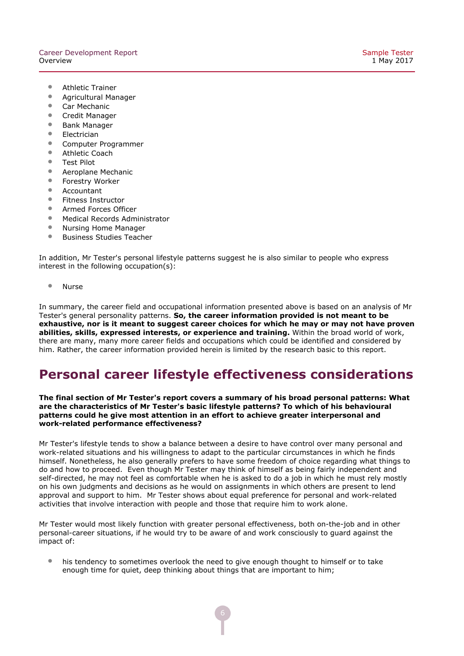- Athletic Trainer<br>• Agricultural Mar
- Agricultural Manager<br>• Car Mechanic
- Car Mechanic<br>• Credit Manage
- Credit Manager<br>• Bank Manager
- Bank Manager<br>• Electrician
- Electrician
- Computer Programmer<br>• Athletic Coach
- Athletic Coach<br>• Test Pilot
- Test Pilot
- Aeroplane Mechanic<br>• Forestry Worker
- Forestry Worker<br>• Accountant
- Accountant
- Fitness Instructor
- Armed Forces Officer<br>• Medical Records Adm
- Medical Records Administrator<br>• Nursing Home Manager
- Nursing Home Manager<br>• Business Studies Teache
- Business Studies Teacher

In addition, Mr Tester's personal lifestyle patterns suggest he is also similar to people who express interest in the following occupation(s):

• Nurse

In summary, the career field and occupational information presented above is based on an analysis of Mr Tester's general personality patterns. **So, the career information provided is not meant to be exhaustive, nor is it meant to suggest career choices for which he may or may not have proven abilities, skills, expressed interests, or experience and training.** Within the broad world of work, there are many, many more career fields and occupations which could be identified and considered by him. Rather, the career information provided herein is limited by the research basic to this report.

### **Personal career lifestyle effectiveness considerations**

#### **The final section of Mr Tester's report covers a summary of his broad personal patterns: What are the characteristics of Mr Tester's basic lifestyle patterns? To which of his behavioural patterns could he give most attention in an effort to achieve greater interpersonal and workrelated performance effectiveness?**

Mr Tester's lifestyle tends to show a balance between a desire to have control over many personal and work-related situations and his willingness to adapt to the particular circumstances in which he finds himself. Nonetheless, he also generally prefers to have some freedom of choice regarding what things to do and how to proceed. Even though Mr Tester may think of himself as being fairly independent and self-directed, he may not feel as comfortable when he is asked to do a job in which he must rely mostly on his own judgments and decisions as he would on assignments in which others are present to lend approval and support to him. Mr Tester shows about equal preference for personal and work-related activities that involve interaction with people and those that require him to work alone.

Mr Tester would most likely function with greater personal effectiveness, both on-the-job and in other personal-career situations, if he would try to be aware of and work consciously to quard against the impact of:

• his tendency to sometimes overlook the need to give enough thought to himself or to take enough time for quiet, deep thinking about things that are important to him;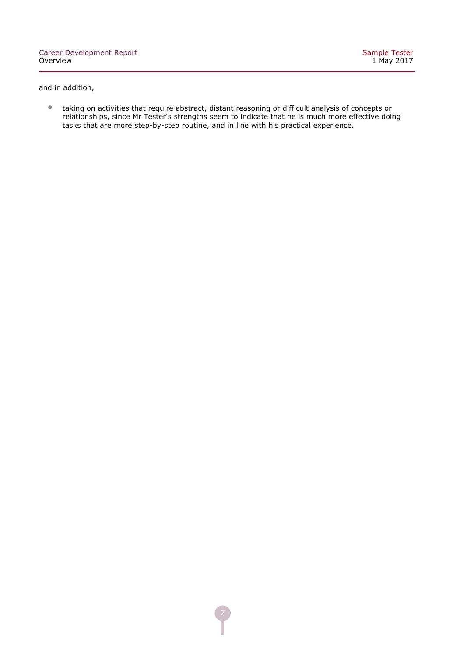and in addition,

• taking on activities that require abstract, distant reasoning or difficult analysis of concepts or relationships, since Mr Tester's strengths seem to indicate that he is much more effective doing tasks that are more step-by-step routine, and in line with his practical experience.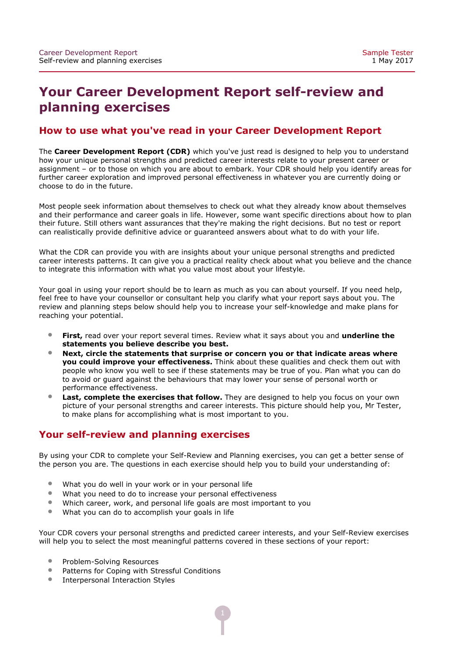# **Your Career Development Report self-review and planning exercises**

### **How to use what you've read in your Career Development Report**

The **Career Development Report (CDR)** which you've just read is designed to help you to understand how your unique personal strengths and predicted career interests relate to your present career or assignment – or to those on which you are about to embark. Your CDR should help you identify areas for further career exploration and improved personal effectiveness in whatever you are currently doing or choose to do in the future.

Most people seek information about themselves to check out what they already know about themselves and their performance and career goals in life. However, some want specific directions about how to plan their future. Still others want assurances that they're making the right decisions. But no test or report can realistically provide definitive advice or guaranteed answers about what to do with your life.

What the CDR can provide you with are insights about your unique personal strengths and predicted career interests patterns. It can give you a practical reality check about what you believe and the chance to integrate this information with what you value most about your lifestyle.

Your goal in using your report should be to learn as much as you can about yourself. If you need help, feel free to have your counsellor or consultant help you clarify what your report says about you. The review and planning steps below should help you to increase your self-knowledge and make plans for reaching your potential.

- **First,** read over your report several times. Review what it says about you and **underline the statements you believe describe you best.**
- **Next, circle the statements that surprise or concern you or that indicate areas where you could improve your effectiveness.** Think about these qualities and check them out with people who know you well to see if these statements may be true of you. Plan what you can do to avoid or guard against the behaviours that may lower your sense of personal worth or performance effectiveness.
- **Last, complete the exercises that follow.** They are designed to help you focus on your own picture of your personal strengths and career interests. This picture should help you, Mr Tester, to make plans for accomplishing what is most important to you.

### **Your self-review and planning exercises**

By using your CDR to complete your Self-Review and Planning exercises, you can get a better sense of the person you are. The questions in each exercise should help you to build your understanding of:

- What you do well in your work or in your personal life<br>• What you need to do to increase your personal effective
- What you need to do to increase your personal effectiveness<br>• Which career, work, and personal life goals are most importa
- Which career, work, and personal life goals are most important to you
- What you can do to accomplish your goals in life

Your CDR covers your personal strengths and predicted career interests, and your Self-Review exercises will help you to select the most meaningful patterns covered in these sections of your report:

- Problem-Solving Resources
- Patterns for Coping with Stressful Conditions
- Interpersonal Interaction Styles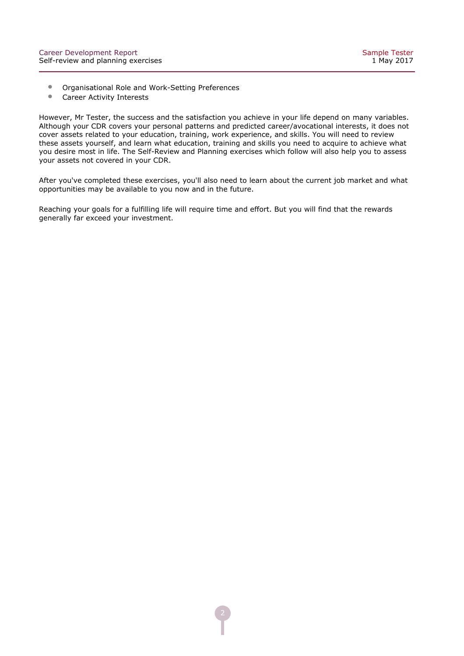- Organisational Role and Work-Setting Preferences<br>• Career Activity Interests
- Career Activity Interests

However, Mr Tester, the success and the satisfaction you achieve in your life depend on many variables. Although your CDR covers your personal patterns and predicted career/avocational interests, it does not cover assets related to your education, training, work experience, and skills. You will need to review these assets yourself, and learn what education, training and skills you need to acquire to achieve what you desire most in life. The Self-Review and Planning exercises which follow will also help you to assess your assets not covered in your CDR.

After you've completed these exercises, you'll also need to learn about the current job market and what opportunities may be available to you now and in the future.

Reaching your goals for a fulfilling life will require time and effort. But you will find that the rewards generally far exceed your investment.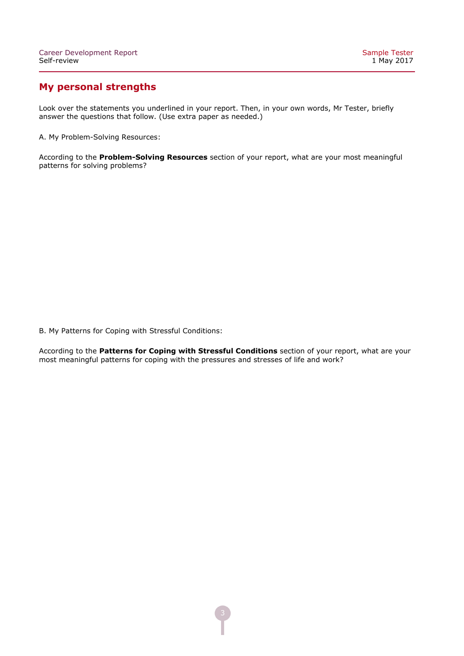### **My personal strengths**

Look over the statements you underlined in your report. Then, in your own words, Mr Tester, briefly answer the questions that follow. (Use extra paper as needed.)

A. My Problem-Solving Resources:

According to the Problem-Solving Resources section of your report, what are your most meaningful patterns for solving problems?

B. My Patterns for Coping with Stressful Conditions:

According to the **Patterns for Coping with Stressful Conditions** section of your report, what are your most meaningful patterns for coping with the pressures and stresses of life and work?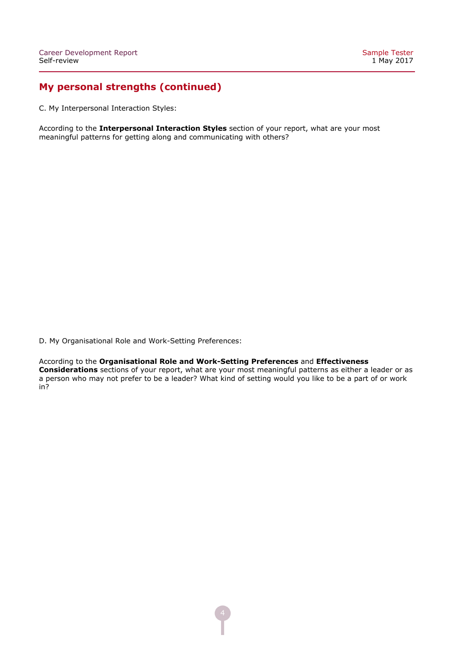### **My personal strengths (continued)**

C. My Interpersonal Interaction Styles:

According to the **Interpersonal Interaction Styles** section of your report, what are your most meaningful patterns for getting along and communicating with others?

D. My Organisational Role and Work-Setting Preferences:

According to the Organisational Role and Work-Setting Preferences and Effectiveness

**Considerations** sections of your report, what are your most meaningful patterns as either a leader or as a person who may not prefer to be a leader? What kind of setting would you like to be a part of or work in?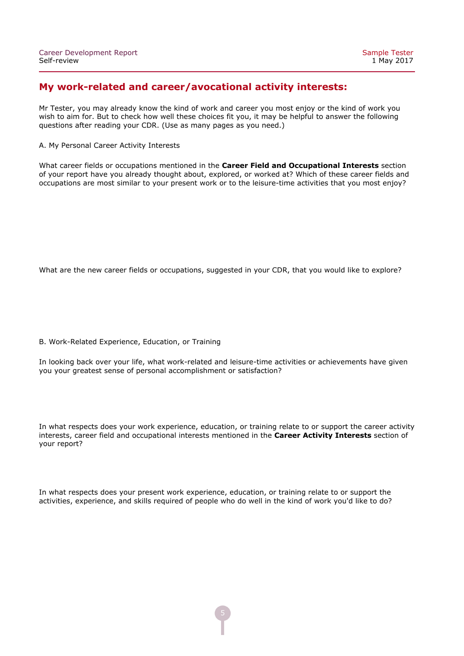### **My work-related and career/avocational activity interests:**

Mr Tester, you may already know the kind of work and career you most enjoy or the kind of work you wish to aim for. But to check how well these choices fit you, it may be helpful to answer the following questions after reading your CDR. (Use as many pages as you need.)

A. My Personal Career Activity Interests

What career fields or occupations mentioned in the **Career Field and Occupational Interests** section of your report have you already thought about, explored, or worked at? Which of these career fields and occupations are most similar to your present work or to the leisure-time activities that you most enjoy?

What are the new career fields or occupations, suggested in your CDR, that you would like to explore?

B. Work-Related Experience, Education, or Training

In looking back over your life, what work-related and leisure-time activities or achievements have given you your greatest sense of personal accomplishment or satisfaction?

In what respects does your work experience, education, or training relate to or support the career activity interests, career field and occupational interests mentioned in the **Career Activity Interests** section of your report?

In what respects does your present work experience, education, or training relate to or support the activities, experience, and skills required of people who do well in the kind of work you'd like to do?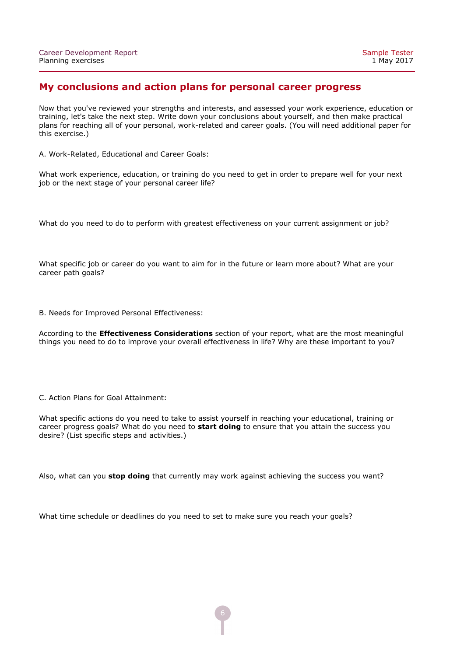#### **My conclusions and action plans for personal career progress**

Now that you've reviewed your strengths and interests, and assessed your work experience, education or training, let's take the next step. Write down your conclusions about yourself, and then make practical plans for reaching all of your personal, work-related and career goals. (You will need additional paper for this exercise.)

A. Work-Related, Educational and Career Goals:

What work experience, education, or training do you need to get in order to prepare well for your next job or the next stage of your personal career life?

What do you need to do to perform with greatest effectiveness on your current assignment or job?

What specific job or career do you want to aim for in the future or learn more about? What are your career path goals?

B. Needs for Improved Personal Effectiveness:

According to the **Effectiveness Considerations** section of your report, what are the most meaningful things you need to do to improve your overall effectiveness in life? Why are these important to you?

C. Action Plans for Goal Attainment:

What specific actions do you need to take to assist yourself in reaching your educational, training or career progress goals? What do you need to **start doing** to ensure that you attain the success you desire? (List specific steps and activities.)

Also, what can you **stop doing** that currently may work against achieving the success you want?

What time schedule or deadlines do you need to set to make sure you reach your goals?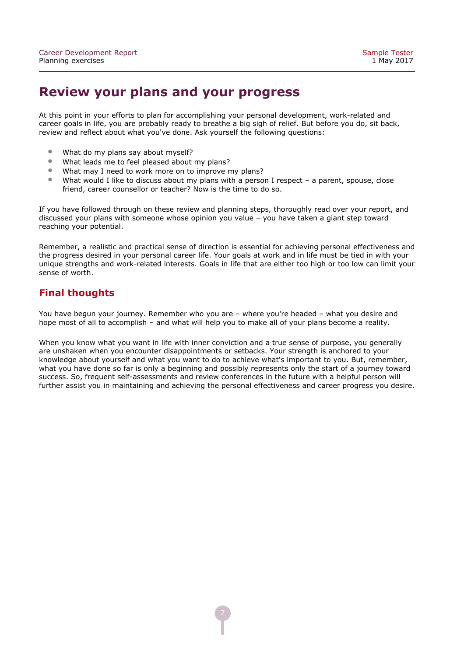### **Review your plans and your progress**

At this point in your efforts to plan for accomplishing your personal development, work-related and career goals in life, you are probably ready to breathe a big sigh of relief. But before you do, sit back, review and reflect about what you've done. Ask yourself the following questions:

- What do my plans say about myself?<br>• What leads me to feel pleased about
- What leads me to feel pleased about my plans?
- What may I need to work more on to improve my plans?<br>• What would I like to discuss about my plans with a perso
- What would I like to discuss about my plans with a person I respect a parent, spouse, close friend, career counsellor or teacher? Now is the time to do so.

If you have followed through on these review and planning steps, thoroughly read over your report, and discussed your plans with someone whose opinion you value – you have taken a giant step toward reaching your potential.

Remember, a realistic and practical sense of direction is essential for achieving personal effectiveness and the progress desired in your personal career life. Your goals at work and in life must be tied in with your unique strengths and work-related interests. Goals in life that are either too high or too low can limit your sense of worth.

### **Final thoughts**

You have begun your journey. Remember who you are – where you're headed – what you desire and hope most of all to accomplish – and what will help you to make all of your plans become a reality.

When you know what you want in life with inner conviction and a true sense of purpose, you generally are unshaken when you encounter disappointments or setbacks. Your strength is anchored to your knowledge about yourself and what you want to do to achieve what's important to you. But, remember, what you have done so far is only a beginning and possibly represents only the start of a journey toward success. So, frequent self-assessments and review conferences in the future with a helpful person will further assist you in maintaining and achieving the personal effectiveness and career progress you desire.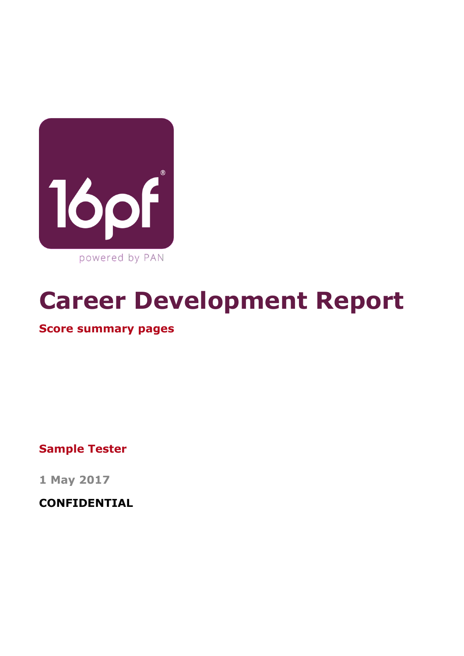

# **Career Development Report**

### **Score summary pages**

**Sample Tester**

**1 May 2017**

**CONFIDENTIAL**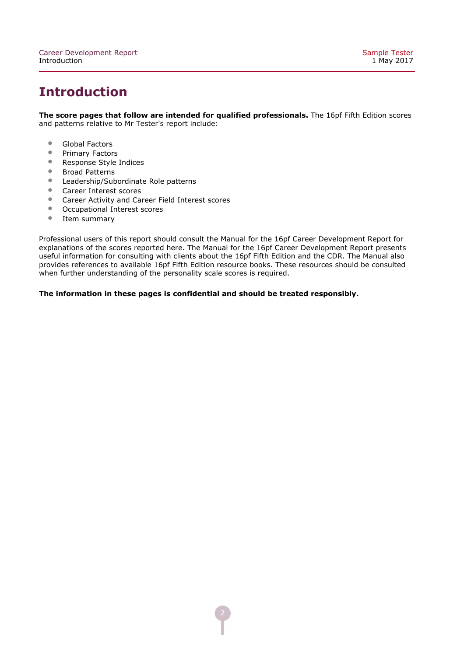# **Introduction**

**The score pages that follow are intended for qualified professionals.** The 16pf Fifth Edition scores and patterns relative to Mr Tester's report include:

- Global Factors<br>• Primary Factor
- Primary Factors<br>• Response Style
- Response Style Indices
- Broad Patterns<br>• Leadership/Sub
- Leadership/Subordinate Role patterns<br>• Career Interest scores
- Career Interest scores<br>• Career Activity and Car
- Career Activity and Career Field Interest scores<br>• Occupational Interest scores
- Occupational Interest scores<br>• Item summarv
- Item summary

Professional users of this report should consult the Manual for the 16pf Career Development Report for explanations of the scores reported here. The Manual for the 16pf Career Development Report presents useful information for consulting with clients about the 16pf Fifth Edition and the CDR. The Manual also provides references to available 16pf Fifth Edition resource books. These resources should be consulted when further understanding of the personality scale scores is required.

**The information in these pages is confidential and should be treated responsibly.**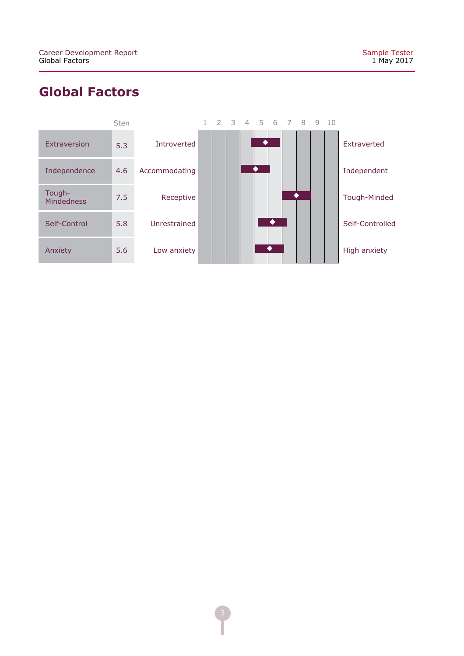# **Global Factors**

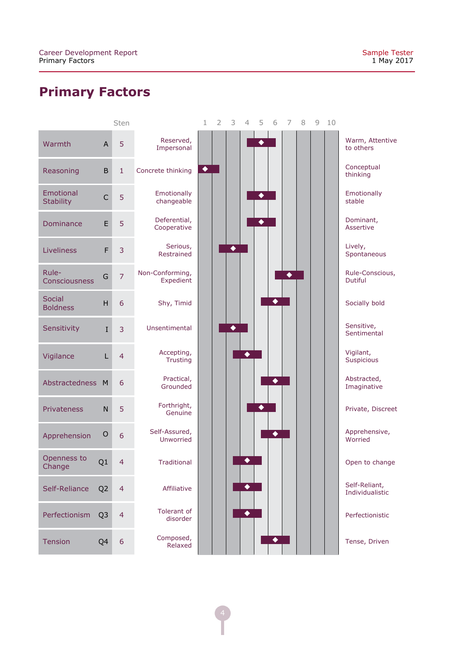# **Primary Factors**

|                               |                           | Sten            |                               | 1               | 2 | 3 | 4               | 5                | 6               | 7               | 8 | 9 | 10 |                                   |
|-------------------------------|---------------------------|-----------------|-------------------------------|-----------------|---|---|-----------------|------------------|-----------------|-----------------|---|---|----|-----------------------------------|
| Warmth                        | $\boldsymbol{\mathsf{A}}$ | 5               | Reserved,<br>Impersonal       |                 |   |   |                 | $\ddot{\bullet}$ |                 |                 |   |   |    | Warm, Attentive<br>to others      |
| Reasoning                     | $\sf B$                   | $\mathbf{1}$    | Concrete thinking             | $\blacklozenge$ |   |   |                 |                  |                 |                 |   |   |    | Conceptual<br>thinking            |
| Emotional<br><b>Stability</b> | $\overline{C}$            | 5               | Emotionally<br>changeable     |                 |   |   |                 | $\blacklozenge$  |                 |                 |   |   |    | Emotionally<br>stable             |
| Dominance                     | E                         | 5               | Deferential,<br>Cooperative   |                 |   |   |                 | $\blacklozenge$  |                 |                 |   |   |    | Dominant,<br>Assertive            |
| Liveliness                    | F                         | 3               | Serious,<br>Restrained        |                 |   | ◆ |                 |                  |                 |                 |   |   |    | Lively,<br>Spontaneous            |
| Rule-<br>Consciousness        | G                         | $\overline{7}$  | Non-Conforming,<br>Expedient  |                 |   |   |                 |                  |                 | $\blacklozenge$ |   |   |    | Rule-Conscious,<br><b>Dutiful</b> |
| Social<br><b>Boldness</b>     | H                         | 6               | Shy, Timid                    |                 |   |   |                 |                  | $\blacklozenge$ |                 |   |   |    | Socially bold                     |
| Sensitivity                   | $\mathbf I$               | 3               | Unsentimental                 |                 |   | ٠ |                 |                  |                 |                 |   |   |    | Sensitive,<br>Sentimental         |
| Vigilance                     | L                         | $\overline{4}$  | Accepting,<br><b>Trusting</b> |                 |   |   | $\blacklozenge$ |                  |                 |                 |   |   |    | Vigilant,<br>Suspicious           |
| Abstractedness                | M                         | 6               | Practical,<br>Grounded        |                 |   |   |                 |                  | ◆               |                 |   |   |    | Abstracted,<br>Imaginative        |
| Privateness                   | ${\sf N}$                 | 5               | Forthright,<br>Genuine        |                 |   |   |                 | ٠                |                 |                 |   |   |    | Private, Discreet                 |
| Apprehension                  | $\mathsf O$               | $6\phantom{1}6$ | Self-Assured,<br>Unworried    |                 |   |   |                 |                  | $\blacklozenge$ |                 |   |   |    | Apprehensive,<br>Worried          |
| Openness to<br>Change         | Q1                        | $\overline{4}$  | <b>Traditional</b>            |                 |   |   |                 |                  |                 |                 |   |   |    | Open to change                    |
| Self-Reliance                 | Q <sub>2</sub>            | $\overline{4}$  | Affiliative                   |                 |   |   | ◆               |                  |                 |                 |   |   |    | Self-Reliant,<br>Individualistic  |
| Perfectionism                 | Q <sub>3</sub>            | $\overline{4}$  | Tolerant of<br>disorder       |                 |   |   | $\blacklozenge$ |                  |                 |                 |   |   |    | Perfectionistic                   |
| Tension                       | Q4                        | 6               | Composed,<br>Relaxed          |                 |   |   |                 |                  | $\blacklozenge$ |                 |   |   |    | Tense, Driven                     |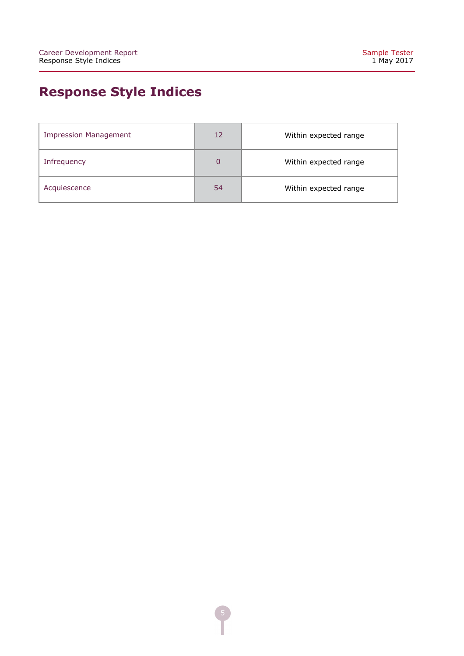# **Response Style Indices**

| <b>Impression Management</b> | 12 | Within expected range |
|------------------------------|----|-----------------------|
| Infrequency                  | 0  | Within expected range |
| Acquiescence                 | 54 | Within expected range |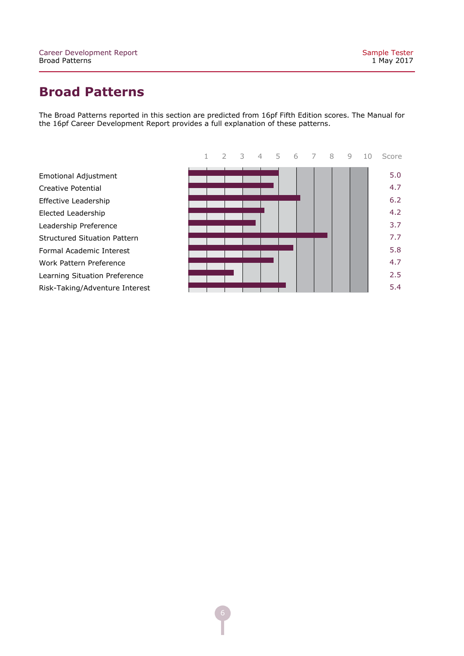# **Broad Patterns**

The Broad Patterns reported in this section are predicted from 16pf Fifth Edition scores. The Manual for the 16pf Career Development Report provides a full explanation of these patterns.



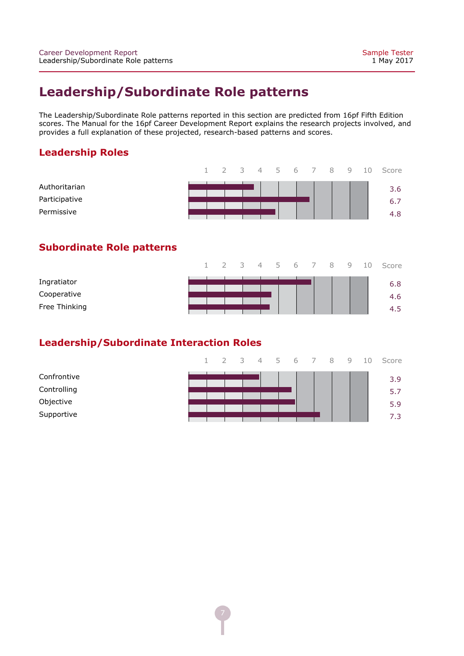# **Leadership/Subordinate Role patterns**

The Leadership/Subordinate Role patterns reported in this section are predicted from 16pf Fifth Edition scores. The Manual for the 16pf Career Development Report explains the research projects involved, and provides a full explanation of these projected, research-based patterns and scores.

### **Leadership Roles**

|               |  |  |  |  |  | 1 2 3 4 5 6 7 8 9 10 Score |
|---------------|--|--|--|--|--|----------------------------|
| Authoritarian |  |  |  |  |  | 3.6                        |
| Participative |  |  |  |  |  | 6.7                        |
| Permissive    |  |  |  |  |  | 4.8                        |

### **Subordinate Role patterns**

|               |  |  |  |  |  | 1 2 3 4 5 6 7 8 9 10 Score |
|---------------|--|--|--|--|--|----------------------------|
| Ingratiator   |  |  |  |  |  | 6.8                        |
| Cooperative   |  |  |  |  |  | 4.6                        |
| Free Thinking |  |  |  |  |  | 4.5                        |

### **Leadership/Subordinate Interaction Roles**

|             |  |  |  |  |  | 1 2 3 4 5 6 7 8 9 10 Score |
|-------------|--|--|--|--|--|----------------------------|
| Confrontive |  |  |  |  |  | 3.9                        |
| Controlling |  |  |  |  |  | 5.7                        |
| Objective   |  |  |  |  |  | 5.9                        |
| Supportive  |  |  |  |  |  | 7.3                        |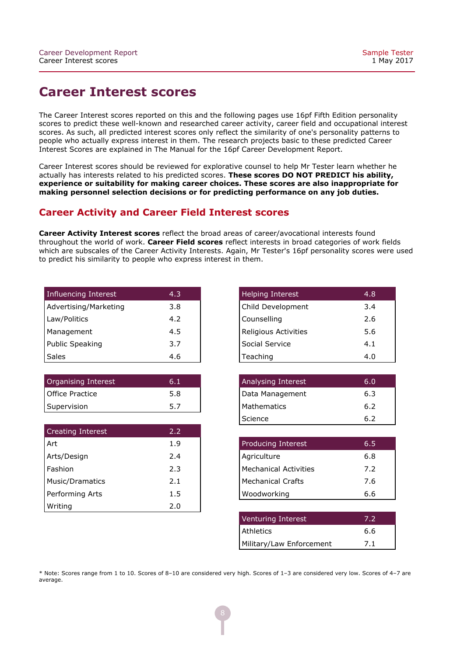### **Career Interest scores**

The Career Interest scores reported on this and the following pages use 16pf Fifth Edition personality scores to predict these well-known and researched career activity, career field and occupational interest scores. As such, all predicted interest scores only reflect the similarity of one's personality patterns to people who actually express interest in them. The research projects basic to these predicted Career Interest Scores are explained in The Manual for the 16pf Career Development Report.

Career Interest scores should be reviewed for explorative counsel to help Mr Tester learn whether he actually has interests related to his predicted scores. **These scores DO NOT PREDICT his ability, experience or suitability for making career choices. These scores are also inappropriate for making personnel selection decisions or for predicting performance on any job duties.**

### **Career Activity and Career Field Interest scores**

**Career Activity Interest scores** reflect the broad areas of career/avocational interests found throughout the world of work. **Career Field scores** reflect interests in broad categories of work fields which are subscales of the Career Activity Interests. Again, Mr Tester's 16pf personality scores were used to predict his similarity to people who express interest in them.

| Influencing Interest  | 4.3 |
|-----------------------|-----|
| Advertising/Marketing | 3.8 |
| Law/Politics          | 4.2 |
| Management            | 4.5 |
| Public Speaking       | 3.7 |
| Sales                 | 4.6 |

| Organising Interest | 6.1  |
|---------------------|------|
| Office Practice     | .5.8 |
| Supervision         | 5.7  |

| <b>Creating Interest</b> | 2.2 |
|--------------------------|-----|
| Art                      | 1.9 |
| Arts/Design              | 2.4 |
| Fashion                  | 2.3 |
| Music/Dramatics          | 2.1 |
| Performing Arts          | 1.5 |
| Writing                  | 2.0 |

| <b>Helping Interest</b> | 4.8 |
|-------------------------|-----|
| Child Development       | 3.4 |
| Counselling             | 2.6 |
| Religious Activities    | 5.6 |
| Social Service          | 4.1 |
| Teaching                | 4.0 |

| Analysing Interest | 6.0 |
|--------------------|-----|
| Data Management    | 6.3 |
| Mathematics        | 6.2 |
| Science            | 6.2 |

| <b>Producing Interest</b> | 6.5 |
|---------------------------|-----|
| Agriculture               | 6.8 |
| Mechanical Activities     | 7.2 |
| Mechanical Crafts         | 7.6 |
| <b>Woodworking</b>        | 6.6 |

| Venturing Interest       | 7.2 |
|--------------------------|-----|
| Athletics                | 6.6 |
| Military/Law Enforcement | 7.1 |

\* Note: Scores range from 1 to 10. Scores of 8–10 are considered very high. Scores of 1–3 are considered very low. Scores of 4–7 are average.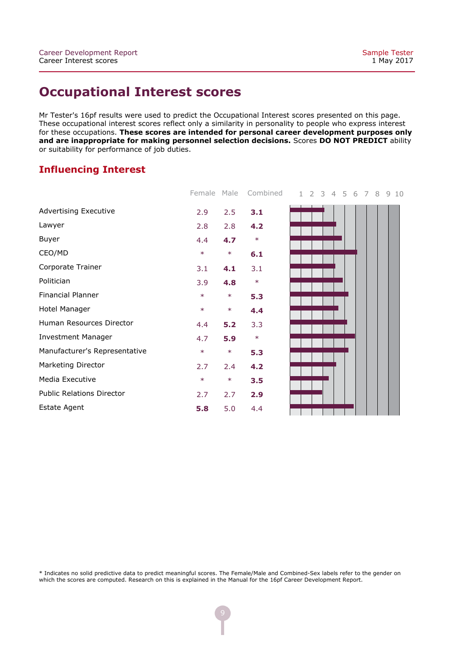### **Occupational Interest scores**

Mr Tester's 16pf results were used to predict the Occupational Interest scores presented on this page. These occupational interest scores reflect only a similarity in personality to people who express interest for these occupations. **These scores are intended for personal career development purposes only and are inappropriate for making personnel selection decisions.** Scores **DO NOT PREDICT** ability or suitability for performance of job duties.

### **Influencing Interest**

|                                  | Female | Male   | Combined |  |  |  | 1 2 3 4 5 6 7 8 | 9 | 10 |
|----------------------------------|--------|--------|----------|--|--|--|-----------------|---|----|
| <b>Advertising Executive</b>     | 2.9    | 2.5    | 3.1      |  |  |  |                 |   |    |
| Lawyer                           | 2.8    | 2.8    | 4.2      |  |  |  |                 |   |    |
| Buyer                            | 4.4    | 4.7    | $\ast$   |  |  |  |                 |   |    |
| CEO/MD                           | $\ast$ | $\ast$ | 6.1      |  |  |  |                 |   |    |
| Corporate Trainer                | 3.1    | 4.1    | 3.1      |  |  |  |                 |   |    |
| Politician                       | 3.9    | 4.8    | $\ast$   |  |  |  |                 |   |    |
| Financial Planner                | $\ast$ | $\ast$ | 5.3      |  |  |  |                 |   |    |
| Hotel Manager                    | $\ast$ | $\ast$ | 4.4      |  |  |  |                 |   |    |
| Human Resources Director         | 4.4    | 5.2    | 3.3      |  |  |  |                 |   |    |
| <b>Investment Manager</b>        | 4.7    | 5.9    | $\ast$   |  |  |  |                 |   |    |
| Manufacturer's Representative    | $\ast$ | $\ast$ | 5.3      |  |  |  |                 |   |    |
| Marketing Director               | 2.7    | 2.4    | 4.2      |  |  |  |                 |   |    |
| Media Executive                  | $\ast$ | $\ast$ | 3.5      |  |  |  |                 |   |    |
| <b>Public Relations Director</b> | 2.7    | 2.7    | 2.9      |  |  |  |                 |   |    |
| <b>Estate Agent</b>              | 5.8    | 5.0    | 4.4      |  |  |  |                 |   |    |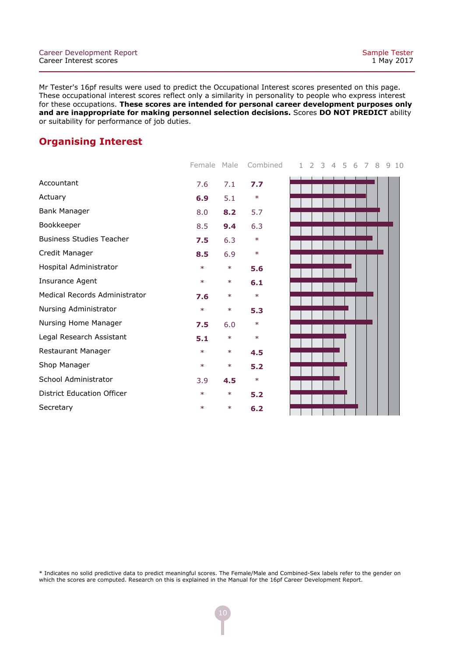### **Organising Interest**

|                                   | Female | Male   | Combined |
|-----------------------------------|--------|--------|----------|
| Accountant                        | 7.6    | 7.1    | 7.7      |
| Actuary                           | 6.9    | 5.1    | $\ast$   |
| <b>Bank Manager</b>               | 8.0    | 8.2    | 5.7      |
| Bookkeeper                        | 8.5    | 9.4    | 6.3      |
| <b>Business Studies Teacher</b>   | 7.5    | 6.3    | $\ast$   |
| Credit Manager                    | 8.5    | 6.9    | $\ast$   |
| Hospital Administrator            | $\ast$ | $\ast$ | 5.6      |
| Insurance Agent                   | $\ast$ | $\ast$ | 6.1      |
| Medical Records Administrator     | 7.6    | $\ast$ | $\ast$   |
| Nursing Administrator             | $\ast$ | $\ast$ | 5.3      |
| Nursing Home Manager              | 7.5    | 6.0    | $\ast$   |
| Legal Research Assistant          | 5.1    | $\ast$ | $\ast$   |
| Restaurant Manager                | $\ast$ | $\ast$ | 4.5      |
| Shop Manager                      | $\ast$ | $\ast$ | 5.2      |
| School Administrator              | 3.9    | 4.5    | $\ast$   |
| <b>District Education Officer</b> | $\ast$ | $\ast$ | 5.2      |
| Secretary                         | $\ast$ | $\ast$ | 6.2      |

1 2 3 4 5 6 7 8 9 10

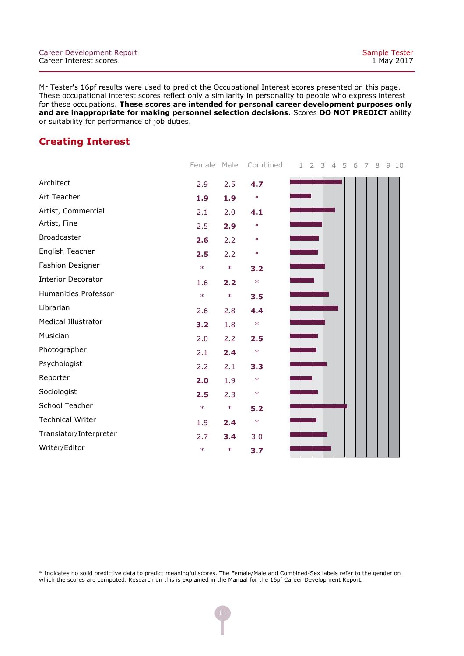### **Creating Interest**

|                            | Female Male |        | Combined | $\overline{2}$<br>3<br>4 5 6<br>$\mathbf{1}$<br>7<br>8<br>910 |  |
|----------------------------|-------------|--------|----------|---------------------------------------------------------------|--|
| Architect                  | 2.9         | 2.5    | 4.7      |                                                               |  |
| Art Teacher                | 1.9         | 1.9    | $\ast$   |                                                               |  |
| Artist, Commercial         | 2.1         | 2.0    | 4.1      |                                                               |  |
| Artist, Fine               | 2.5         | 2.9    | $\ast$   |                                                               |  |
| Broadcaster                | 2.6         | 2.2    | $\ast$   |                                                               |  |
| English Teacher            | 2.5         | 2.2    | $\ast$   |                                                               |  |
| Fashion Designer           | $\ast$      | $\ast$ | 3.2      |                                                               |  |
| <b>Interior Decorator</b>  | 1.6         | 2.2    | $\ast$   |                                                               |  |
| Humanities Professor       | $\ast$      | $\ast$ | 3.5      |                                                               |  |
| Librarian                  | 2.6         | 2.8    | 4.4      |                                                               |  |
| <b>Medical Illustrator</b> | 3.2         | 1.8    | $\ast$   |                                                               |  |
| Musician                   | 2.0         | 2.2    | 2.5      |                                                               |  |
| Photographer               | 2.1         | 2.4    | $\ast$   |                                                               |  |
| Psychologist               | 2.2         | 2.1    | 3.3      |                                                               |  |
| Reporter                   | 2.0         | 1.9    | $\ast$   |                                                               |  |
| Sociologist                | 2.5         | 2.3    | $\ast$   |                                                               |  |
| School Teacher             | $\ast$      | $\ast$ | 5.2      |                                                               |  |
| <b>Technical Writer</b>    | 1.9         | 2.4    | $\ast$   |                                                               |  |
| Translator/Interpreter     | 2.7         | 3.4    | 3.0      |                                                               |  |
| Writer/Editor              | $\ast$      | $\ast$ | 3.7      |                                                               |  |
|                            |             |        |          |                                                               |  |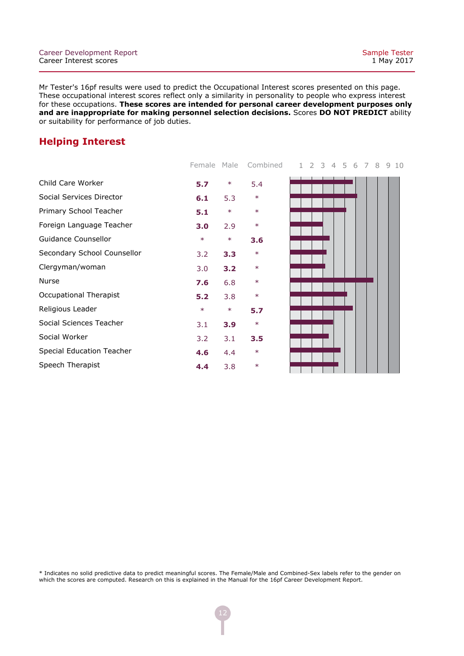### **Helping Interest**

| 5.7    | $\ast$ | 5.4    |                       |
|--------|--------|--------|-----------------------|
| 6.1    | 5.3    | $\ast$ |                       |
| 5.1    | $\ast$ | $\ast$ |                       |
| 3.0    | 2.9    | $\ast$ |                       |
| $\ast$ | $\ast$ | 3.6    |                       |
| 3.2    | 3.3    | $\ast$ |                       |
| 3.0    | 3.2    | $\ast$ |                       |
| 7.6    | 6.8    | $\ast$ |                       |
| 5.2    | 3.8    | $\ast$ |                       |
| $\ast$ | $\ast$ | 5.7    |                       |
| 3.1    | 3.9    | $\ast$ |                       |
| 3.2    | 3.1    | 3.5    |                       |
| 4.6    | 4.4    | $\ast$ |                       |
| 4.4    | 3.8    | $\ast$ |                       |
|        |        |        | Ferridie Male Compile |

Female Male Combined 1 2 3 4 5 6 7 8 9 10

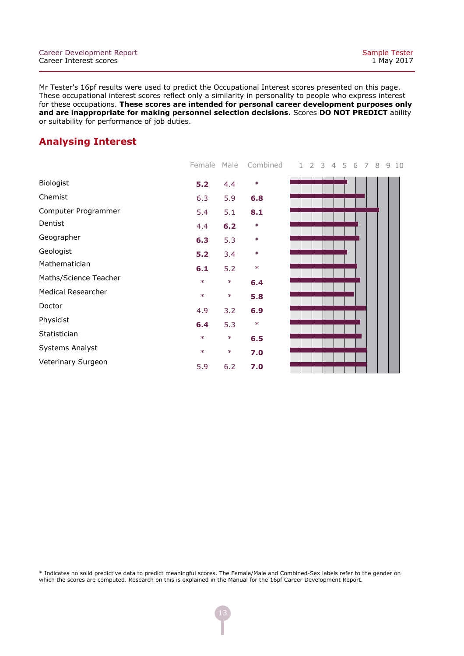### **Analysing Interest**

|                       | Fernale Male |        | – CONDING |
|-----------------------|--------------|--------|-----------|
| <b>Biologist</b>      | 5.2          | 4.4    | $\ast$    |
| Chemist               | 6.3          | 5.9    | 6.8       |
| Computer Programmer   | 5.4          | 5.1    | 8.1       |
| Dentist               | 4.4          | 6.2    | $\ast$    |
| Geographer            | 6.3          | 5.3    | $\ast$    |
| Geologist             | 5.2          | 3.4    | $\ast$    |
| Mathematician         | 6.1          | 5.2    | $\ast$    |
| Maths/Science Teacher | $\ast$       | $\ast$ | 6.4       |
| Medical Researcher    | $\ast$       | $\ast$ | 5.8       |
| Doctor                | 4.9          | 3.2    | 6.9       |
| Physicist             | 6.4          | 5.3    | $\ast$    |
| Statistician          | $\ast$       | $\ast$ | 6.5       |
| Systems Analyst       | $\ast$       | $\ast$ | 7.0       |
| Veterinary Surgeon    | 5.9          | 6.2    | 7.0       |
|                       |              |        |           |

Female Male Combined 1 2 3 4 5 6 7 8 9 10

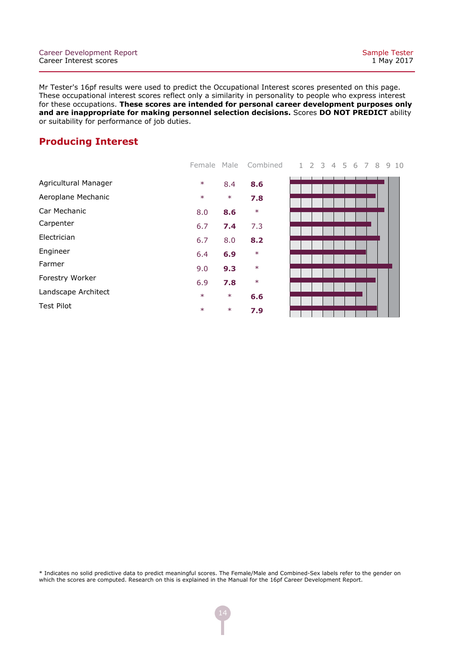### **Producing Interest**

|                      | Female | Male   | Combined |
|----------------------|--------|--------|----------|
| Agricultural Manager | $\ast$ | 8.4    | 8.6      |
| Aeroplane Mechanic   | $\ast$ | $\ast$ | 7.8      |
| Car Mechanic         | 8.0    | 8.6    | $\ast$   |
| Carpenter            | 6.7    | 7.4    | 7.3      |
| Electrician          | 6.7    | 8.0    | 8.2      |
| Engineer             | 6.4    | 6.9    | $\ast$   |
| Farmer               | 9.0    | 9.3    | $\ast$   |
| Forestry Worker      | 6.9    | 7.8    | $\ast$   |
| Landscape Architect  | $\ast$ | $\ast$ | 6.6      |
| <b>Test Pilot</b>    | $\ast$ | $\ast$ | 7.9      |
|                      |        |        |          |



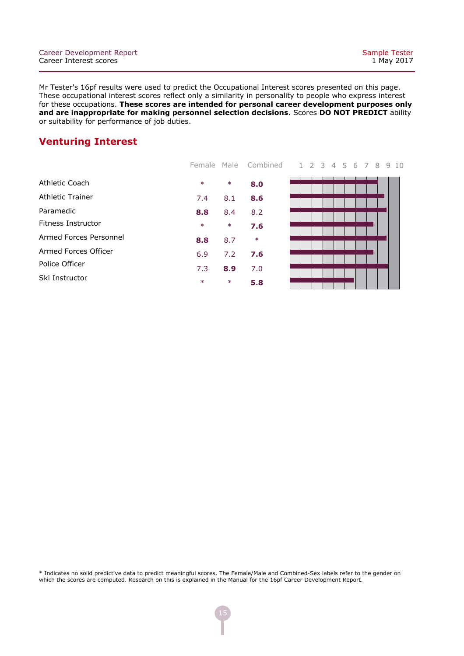### **Venturing Interest**

|                        |        |        | Female Male Combined |
|------------------------|--------|--------|----------------------|
| Athletic Coach         | $\ast$ | $\ast$ | 8.0                  |
| Athletic Trainer       | 7.4    | 8.1    | 8.6                  |
| Paramedic              | 8.8    | 8.4    | 8.2                  |
| Fitness Instructor     | $\ast$ | $\ast$ | 7.6                  |
| Armed Forces Personnel | 8.8    | 8.7    | $\ast$               |
| Armed Forces Officer   | 6.9    | 7.2    | 7.6                  |
| Police Officer         | 7.3    | 8.9    | 7.0                  |
| Ski Instructor         | $\ast$ | $\ast$ | 5.8                  |

1 2 3 4 5 6 7 8 9 10

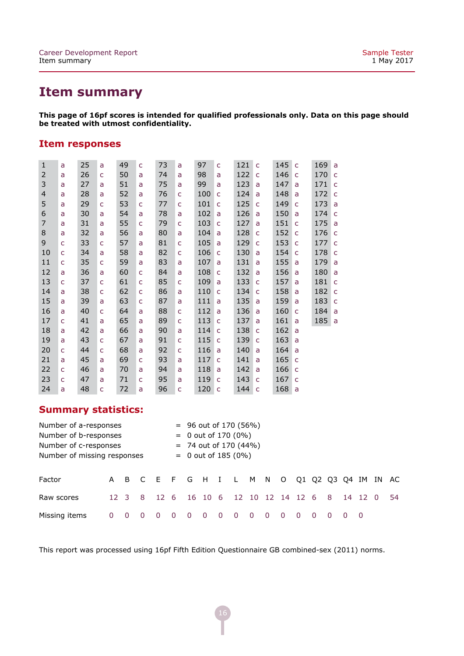# **Item summary**

**This page of 16pf scores is intended for qualified professionals only. Data on this page should be treated with utmost confidentiality.**

#### **Item responses**

| $\mathbf{1}$   | a | 25 | a | 49 | C | 73 | a            | 97  | C            | 121 | C            | 145 | C | 169 | a            |
|----------------|---|----|---|----|---|----|--------------|-----|--------------|-----|--------------|-----|---|-----|--------------|
| 2              | a | 26 | C | 50 | a | 74 | a            | 98  | a            | 122 | $\mathsf{C}$ | 146 | C | 170 | $\mathsf{C}$ |
| 3              | a | 27 | a | 51 | a | 75 | a            | 99  | a            | 123 | a            | 147 | a | 171 | $\mathsf C$  |
| $\overline{4}$ | a | 28 | a | 52 | a | 76 | C            | 100 | C            | 124 | a            | 148 | a | 172 | $\mathsf{C}$ |
| 5              | a | 29 | C | 53 | C | 77 | C            | 101 | C            | 125 | C            | 149 | C | 173 | a            |
| 6              | a | 30 | a | 54 | a | 78 | a            | 102 | a            | 126 | a            | 150 | a | 174 | C            |
| 7              | a | 31 | a | 55 | C | 79 | C            | 103 | C            | 127 | a            | 151 | C | 175 | a            |
| 8              | a | 32 | a | 56 | a | 80 | a            | 104 | a            | 128 | $\mathsf{C}$ | 152 | C | 176 | $\mathsf{C}$ |
| 9              | C | 33 | C | 57 | a | 81 | C            | 105 | a            | 129 | C            | 153 | C | 177 | C            |
| 10             | C | 34 | a | 58 | a | 82 | $\mathsf{C}$ | 106 | C            | 130 | a            | 154 | C | 178 | $\mathsf{C}$ |
| 11             | C | 35 | C | 59 | a | 83 | a            | 107 | a            | 131 | a            | 155 | a | 179 | a            |
| 12             | a | 36 | a | 60 | C | 84 | a            | 108 | C            | 132 | a            | 156 | a | 180 | a            |
| 13             | C | 37 | C | 61 | C | 85 | C            | 109 | a            | 133 | C            | 157 | a | 181 | C            |
| 14             | a | 38 | C | 62 | C | 86 | a            | 110 | C            | 134 | C            | 158 | a | 182 | C            |
| 15             | a | 39 | a | 63 | C | 87 | a            | 111 | a            | 135 | a            | 159 | a | 183 | C            |
| 16             | a | 40 | C | 64 | a | 88 | C            | 112 | a            | 136 | a            | 160 | C | 184 | a            |
| 17             | C | 41 | a | 65 | a | 89 | $\mathsf{C}$ | 113 | $\mathsf{C}$ | 137 | a            | 161 | a | 185 | a            |
| 18             | a | 42 | a | 66 | a | 90 | a            | 114 | C            | 138 | C            | 162 | a |     |              |
| 19             | a | 43 | C | 67 | a | 91 | $\mathsf{C}$ | 115 | $\mathsf{C}$ | 139 | $\mathsf{C}$ | 163 | a |     |              |
| 20             | C | 44 | C | 68 | a | 92 | C            | 116 | a            | 140 | a            | 164 | a |     |              |
| 21             | a | 45 | a | 69 | C | 93 | a            | 117 | C            | 141 | a            | 165 | C |     |              |
| 22             | C | 46 | a | 70 | a | 94 | a            | 118 | a            | 142 | a            | 166 | C |     |              |
| 23             | c | 47 | a | 71 | C | 95 | a            | 119 | C            | 143 | C            | 167 | c |     |              |
| 24             | a | 48 | C | 72 | a | 96 | C            | 120 | $\mathsf{C}$ | 144 | $\mathsf{C}$ | 168 | a |     |              |

### **Summary statistics:**

| Number of a-responses       |                       | $=$ 96 out of 170 (56%) |          |                                              |   |                       |                         |     |   |          |            |          |  |  |     |  |         |  |    |
|-----------------------------|-----------------------|-------------------------|----------|----------------------------------------------|---|-----------------------|-------------------------|-----|---|----------|------------|----------|--|--|-----|--|---------|--|----|
| Number of b-responses       | $= 0$ out of 170 (0%) |                         |          |                                              |   |                       |                         |     |   |          |            |          |  |  |     |  |         |  |    |
|                             | Number of c-responses |                         |          |                                              |   |                       | $= 74$ out of 170 (44%) |     |   |          |            |          |  |  |     |  |         |  |    |
| Number of missing responses |                       |                         |          |                                              |   | $= 0$ out of 185 (0%) |                         |     |   |          |            |          |  |  |     |  |         |  |    |
|                             |                       |                         |          |                                              |   |                       |                         |     |   |          |            |          |  |  |     |  |         |  |    |
| Factor                      |                       |                         |          | A B C E F G H I L M N O Q1 Q2 Q3 Q4 IM IN AC |   |                       |                         |     |   |          |            |          |  |  |     |  |         |  |    |
| Raw scores                  | $12 \quad 3$          |                         | -8       | 12 <sub>6</sub>                              |   |                       | $16 \quad 10$           | - 6 |   | 12 10    | 12 14 12 6 |          |  |  | - 8 |  | 14 12 0 |  | 54 |
| Missing items               |                       |                         | $\Omega$ | 0                                            | 0 |                       | 0                       | 0   | 0 | $\Omega$ | $\Omega$   | $\Omega$ |  |  |     |  |         |  |    |

This report was processed using 16pf Fifth Edition Questionnaire GB combined-sex (2011) norms.